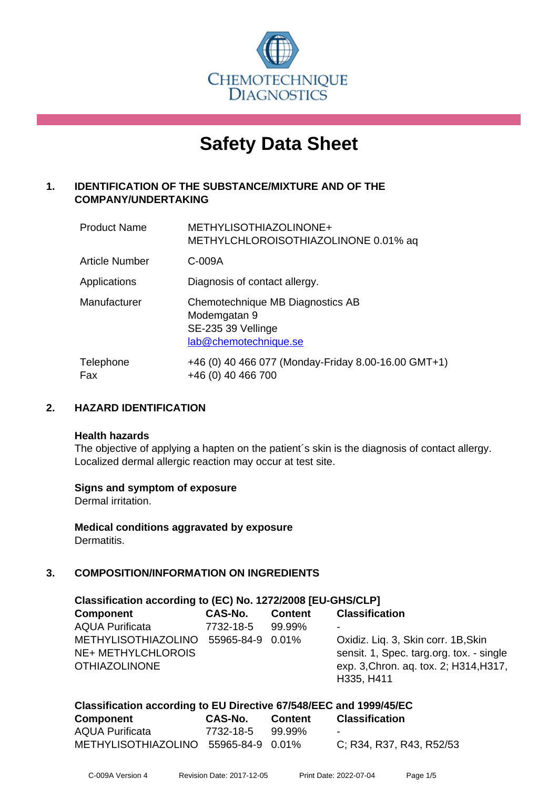

# **Safety Data Sheet**

# **1. IDENTIFICATION OF THE SUBSTANCE/MIXTURE AND OF THE COMPANY/UNDERTAKING**

| <b>Product Name</b>   | METHYLISOTHIAZOLINONE+<br>METHYLCHLOROISOTHIAZOLINONE 0.01% aq                                  |
|-----------------------|-------------------------------------------------------------------------------------------------|
| <b>Article Number</b> | C-009A                                                                                          |
| Applications          | Diagnosis of contact allergy.                                                                   |
| Manufacturer          | Chemotechnique MB Diagnostics AB<br>Modemgatan 9<br>SE-235 39 Vellinge<br>lab@chemotechnique.se |
| Telephone<br>Fax      | +46 (0) 40 466 077 (Monday-Friday 8.00-16.00 GMT+1)<br>+46 (0) 40 466 700                       |

# **2. HAZARD IDENTIFICATION**

#### **Health hazards**

The objective of applying a hapten on the patient's skin is the diagnosis of contact allergy. Localized dermal allergic reaction may occur at test site.

## **Signs and symptom of exposure**

Dermal irritation.

**Medical conditions aggravated by exposure** Dermatitis.

## **3. COMPOSITION/INFORMATION ON INGREDIENTS**

| Classification according to (EC) No. 1272/2008 [EU-GHS/CLP] |                  |                |                                          |  |
|-------------------------------------------------------------|------------------|----------------|------------------------------------------|--|
| <b>Component</b>                                            | CAS-No.          | <b>Content</b> | <b>Classification</b>                    |  |
| <b>AQUA Purificata</b>                                      | 7732-18-5        | 99.99%         | -                                        |  |
| METHYLISOTHIAZOLINO                                         | 55965-84-9 0.01% |                | Oxidiz. Liq. 3, Skin corr. 1B, Skin      |  |
| NE+ METHYLCHLOROIS                                          |                  |                | sensit. 1, Spec. targ.org. tox. - single |  |
| <b>OTHIAZOLINONE</b>                                        |                  |                | exp. 3, Chron. aq. tox. 2; H314, H317,   |  |
|                                                             |                  |                | H335, H411                               |  |
|                                                             |                  |                |                                          |  |

#### **Classification according to EU Directive 67/548/EEC and 1999/45/EC**

| Component                            | CAS-No.   | <b>Content</b> | <b>Classification</b>    |
|--------------------------------------|-----------|----------------|--------------------------|
| <b>AQUA Purificata</b>               | 7732-18-5 | 99.99%         | $\sim$                   |
| METHYLISOTHIAZOLINO 55965-84-9 0.01% |           |                | C: R34, R37, R43, R52/53 |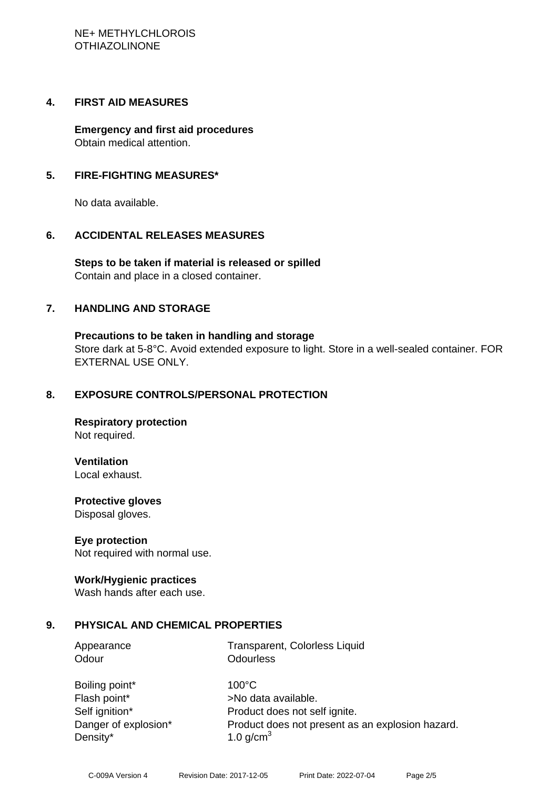## **4. FIRST AID MEASURES**

**Emergency and first aid procedures** Obtain medical attention.

# **5. FIRE-FIGHTING MEASURES\***

No data available.

# **6. ACCIDENTAL RELEASES MEASURES**

**Steps to be taken if material is released or spilled** Contain and place in a closed container.

# **7. HANDLING AND STORAGE**

**Precautions to be taken in handling and storage** Store dark at 5-8°C. Avoid extended exposure to light. Store in a well-sealed container. FOR EXTERNAL USE ONLY.

## **8. EXPOSURE CONTROLS/PERSONAL PROTECTION**

**Respiratory protection** Not required.

## **Ventilation**

Local exhaust.

**Protective gloves** Disposal gloves.

## **Eye protection**

Not required with normal use.

## **Work/Hygienic practices**

Wash hands after each use.

## **9. PHYSICAL AND CHEMICAL PROPERTIES**

| Appearance |  |
|------------|--|
| Odour      |  |

Transparent, Colorless Liquid **Odourless** 

| Boiling point*       |
|----------------------|
| Flash point*         |
| Self ignition*       |
| Danger of explosion* |
| Density*             |

 $100^{\circ}$ C >No data available. Product does not self ignite. Product does not present as an explosion hazard. 1.0 g/cm<sup>3</sup>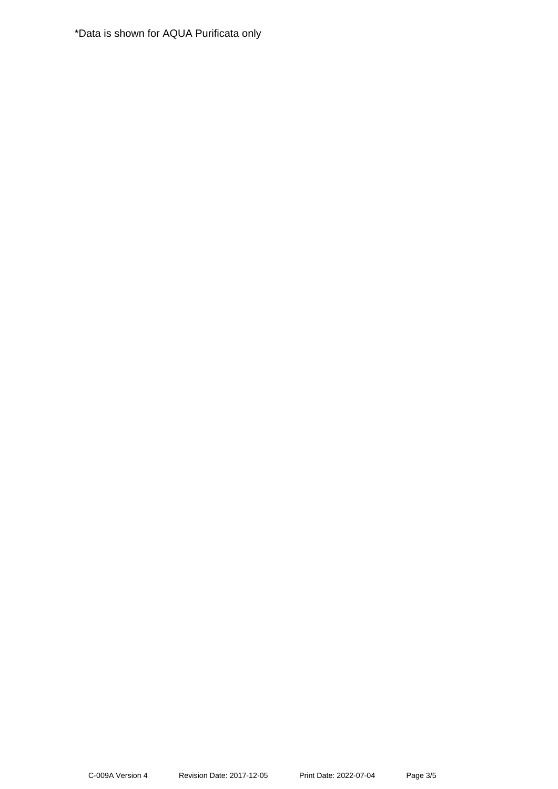\*Data is shown for AQUA Purificata only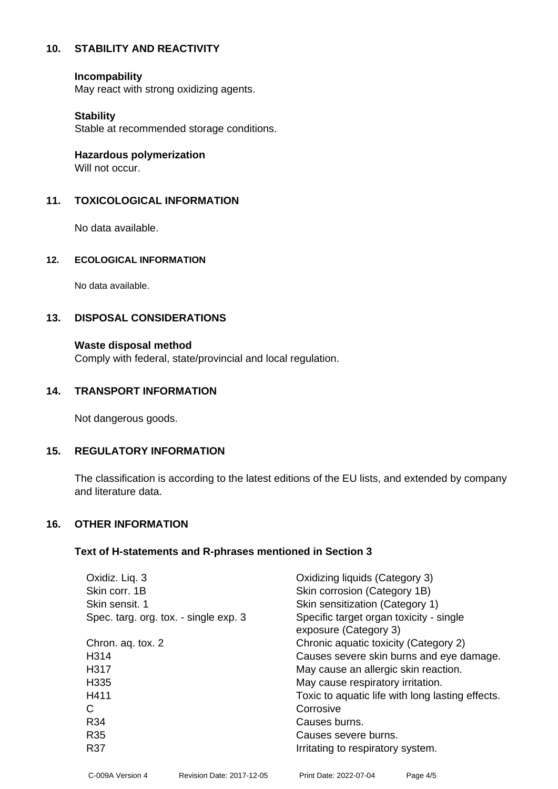## **10. STABILITY AND REACTIVITY**

#### **Incompability**

May react with strong oxidizing agents.

#### **Stability**

Stable at recommended storage conditions.

**Hazardous polymerization**

Will not occur.

## **11. TOXICOLOGICAL INFORMATION**

No data available.

#### **12. ECOLOGICAL INFORMATION**

No data available.

## **13. DISPOSAL CONSIDERATIONS**

## **Waste disposal method**

Comply with federal, state/provincial and local regulation.

#### **14. TRANSPORT INFORMATION**

Not dangerous goods.

## **15. REGULATORY INFORMATION**

The classification is according to the latest editions of the EU lists, and extended by company and literature data.

#### **16. OTHER INFORMATION**

#### **Text of H-statements and R-phrases mentioned in Section 3**

| Oxidiz. Liq. 3                        | Oxidizing liquids (Category 3)                                   |
|---------------------------------------|------------------------------------------------------------------|
| Skin corr. 1B                         | Skin corrosion (Category 1B)                                     |
| Skin sensit, 1                        | Skin sensitization (Category 1)                                  |
| Spec. targ. org. tox. - single exp. 3 | Specific target organ toxicity - single<br>exposure (Category 3) |
| Chron. aq. tox. 2                     | Chronic aquatic toxicity (Category 2)                            |
| H314                                  | Causes severe skin burns and eye damage.                         |
| H317                                  | May cause an allergic skin reaction.                             |
| H335                                  | May cause respiratory irritation.                                |
| H411                                  | Toxic to aquatic life with long lasting effects.                 |
| С                                     | Corrosive                                                        |
| R34                                   | Causes burns.                                                    |
| R <sub>35</sub>                       | Causes severe burns.                                             |
| <b>R37</b>                            | Irritating to respiratory system.                                |
|                                       |                                                                  |